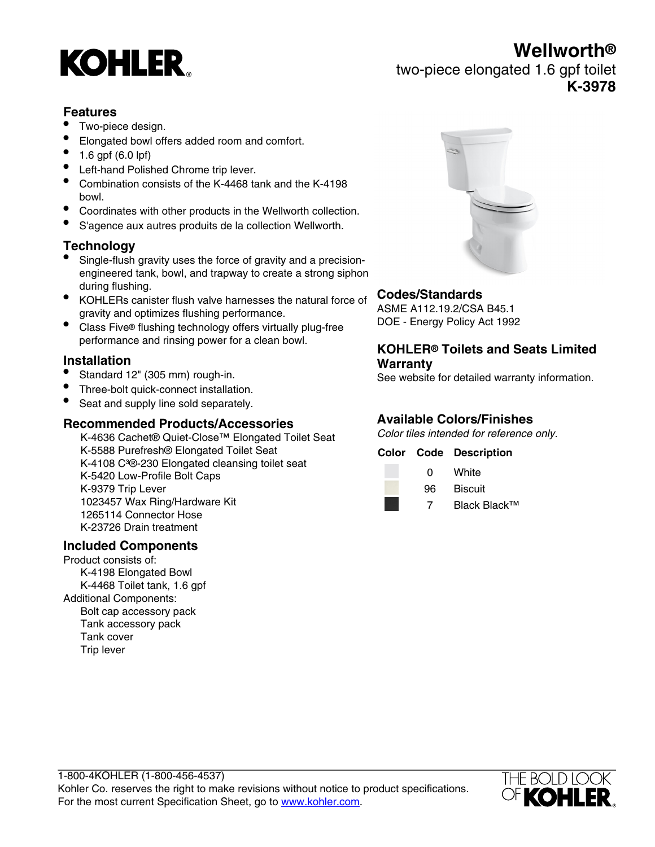# **KOHLER**

## **Wellworth®** two-piece elongated 1.6 gpf toilet **K-3978**

#### **Features**

- Two-piece design.
- Elongated bowl offers added room and comfort.
- 1.6 gpf (6.0 lpf)
- Left-hand Polished Chrome trip lever.
- Combination consists of the K-4468 tank and the K-4198 bowl.
- Coordinates with other products in the Wellworth collection.
- S'agence aux autres produits de la collection Wellworth.

#### **Technology**

- Single-flush gravity uses the force of gravity and a precisionengineered tank, bowl, and trapway to create a strong siphon during flushing.
- KOHLERs canister flush valve harnesses the natural force of gravity and optimizes flushing performance.
- Class Five® flushing technology offers virtually plug-free performance and rinsing power for a clean bowl.

#### **Installation**

- Standard 12" (305 mm) rough-in.
- Three-bolt quick-connect installation.
- Seat and supply line sold separately.

#### **Recommended Products/Accessories**

K-4636 Cachet® Quiet-Close™ Elongated Toilet Seat K-5588 Purefresh® Elongated Toilet Seat K-4108 C<sup>3</sup>®-230 Elongated cleansing toilet seat K-5420 Low-Profile Bolt Caps K-9379 Trip Lever 1023457 Wax Ring/Hardware Kit 1265114 Connector Hose K-23726 Drain treatment

#### **Included Components**

Product consists of: K-4198 Elongated Bowl K-4468 Toilet tank, 1.6 gpf Additional Components: Bolt cap accessory pack Tank accessory pack Tank cover Trip lever



#### **Codes/Standards**

ASME A112.19.2/CSA B45.1 DOE - Energy Policy Act 1992

#### **KOHLER® Toilets and Seats Limited Warranty**

See website for detailed warranty information.

## **Available Colors/Finishes**

Color tiles intended for reference only.

#### **Color Code Description**

- 0 White
- 96 Biscuit
- 7 Black Black™